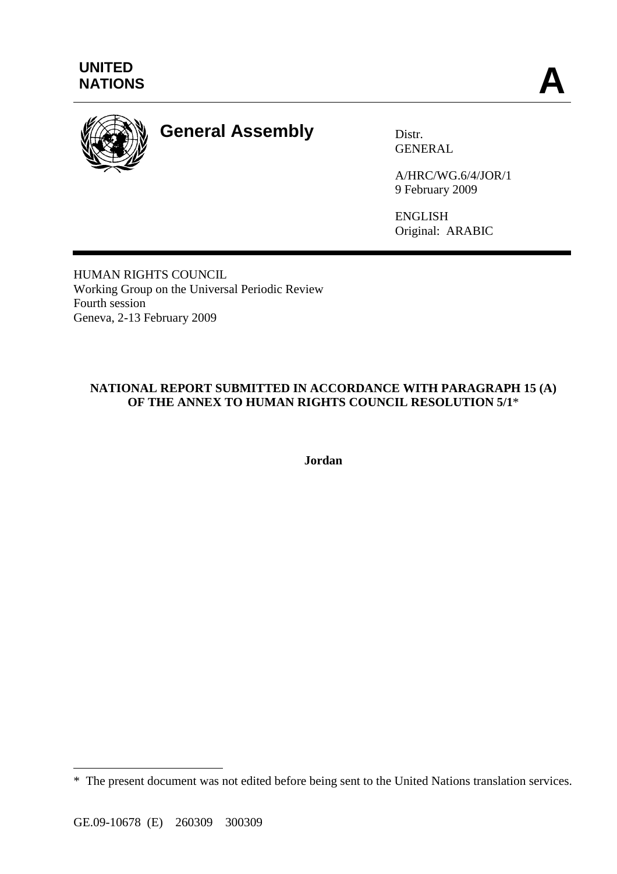

# **General Assembly** Distr.

GENERAL

A/HRC/WG.6/4/JOR/1 9 February 2009

ENGLISH Original: ARABIC

HUMAN RIGHTS COUNCIL Working Group on the Universal Periodic Review Fourth session Geneva, 2-13 February 2009

# **NATIONAL REPORT SUBMITTED IN ACCORDANCE WITH PARAGRAPH 15 (A) OF THE ANNEX TO HUMAN RIGHTS COUNCIL RESOLUTION 5/1**\*

**Jordan** 

 $\overline{a}$ 

<sup>\*</sup> The present document was not edited before being sent to the United Nations translation services.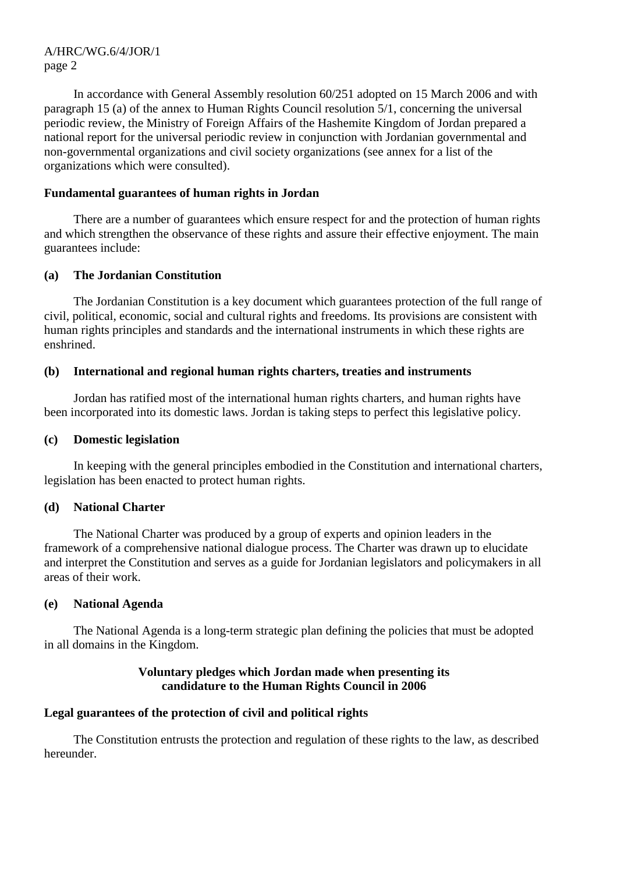In accordance with General Assembly resolution 60/251 adopted on 15 March 2006 and with paragraph 15 (a) of the annex to Human Rights Council resolution 5/1, concerning the universal periodic review, the Ministry of Foreign Affairs of the Hashemite Kingdom of Jordan prepared a national report for the universal periodic review in conjunction with Jordanian governmental and non-governmental organizations and civil society organizations (see annex for a list of the organizations which were consulted).

## **Fundamental guarantees of human rights in Jordan**

 There are a number of guarantees which ensure respect for and the protection of human rights and which strengthen the observance of these rights and assure their effective enjoyment. The main guarantees include:

## **(a) The Jordanian Constitution**

 The Jordanian Constitution is a key document which guarantees protection of the full range of civil, political, economic, social and cultural rights and freedoms. Its provisions are consistent with human rights principles and standards and the international instruments in which these rights are enshrined.

## **(b) International and regional human rights charters, treaties and instruments**

 Jordan has ratified most of the international human rights charters, and human rights have been incorporated into its domestic laws. Jordan is taking steps to perfect this legislative policy.

## **(c) Domestic legislation**

 In keeping with the general principles embodied in the Constitution and international charters, legislation has been enacted to protect human rights.

## **(d) National Charter**

 The National Charter was produced by a group of experts and opinion leaders in the framework of a comprehensive national dialogue process. The Charter was drawn up to elucidate and interpret the Constitution and serves as a guide for Jordanian legislators and policymakers in all areas of their work.

## **(e) National Agenda**

 The National Agenda is a long-term strategic plan defining the policies that must be adopted in all domains in the Kingdom.

## **Voluntary pledges which Jordan made when presenting its candidature to the Human Rights Council in 2006**

# **Legal guarantees of the protection of civil and political rights**

 The Constitution entrusts the protection and regulation of these rights to the law, as described hereunder.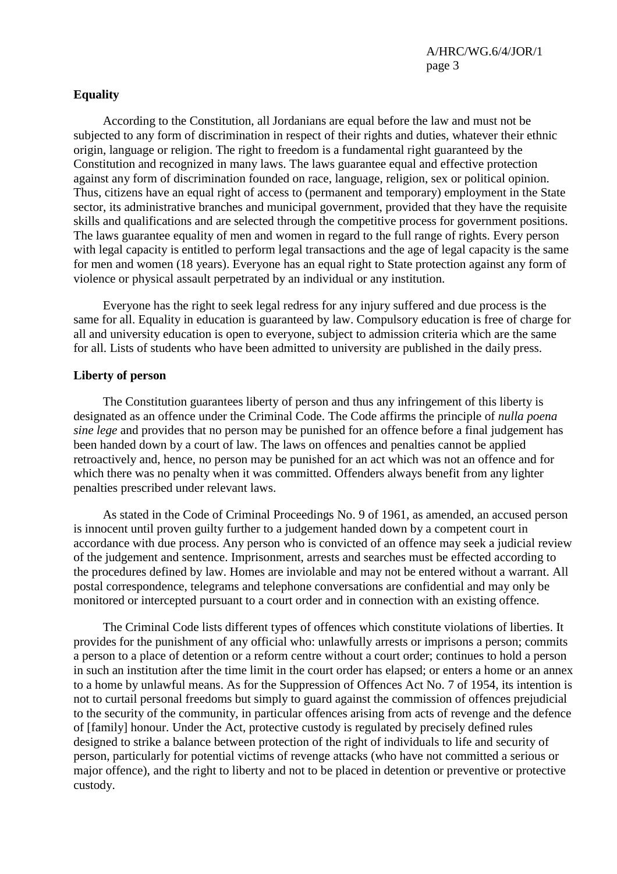## **Equality**

 According to the Constitution, all Jordanians are equal before the law and must not be subjected to any form of discrimination in respect of their rights and duties, whatever their ethnic origin, language or religion. The right to freedom is a fundamental right guaranteed by the Constitution and recognized in many laws. The laws guarantee equal and effective protection against any form of discrimination founded on race, language, religion, sex or political opinion. Thus, citizens have an equal right of access to (permanent and temporary) employment in the State sector, its administrative branches and municipal government, provided that they have the requisite skills and qualifications and are selected through the competitive process for government positions. The laws guarantee equality of men and women in regard to the full range of rights. Every person with legal capacity is entitled to perform legal transactions and the age of legal capacity is the same for men and women (18 years). Everyone has an equal right to State protection against any form of violence or physical assault perpetrated by an individual or any institution.

 Everyone has the right to seek legal redress for any injury suffered and due process is the same for all. Equality in education is guaranteed by law. Compulsory education is free of charge for all and university education is open to everyone, subject to admission criteria which are the same for all. Lists of students who have been admitted to university are published in the daily press.

## **Liberty of person**

 The Constitution guarantees liberty of person and thus any infringement of this liberty is designated as an offence under the Criminal Code. The Code affirms the principle of *nulla poena sine lege* and provides that no person may be punished for an offence before a final judgement has been handed down by a court of law. The laws on offences and penalties cannot be applied retroactively and, hence, no person may be punished for an act which was not an offence and for which there was no penalty when it was committed. Offenders always benefit from any lighter penalties prescribed under relevant laws.

 As stated in the Code of Criminal Proceedings No. 9 of 1961, as amended, an accused person is innocent until proven guilty further to a judgement handed down by a competent court in accordance with due process. Any person who is convicted of an offence may seek a judicial review of the judgement and sentence. Imprisonment, arrests and searches must be effected according to the procedures defined by law. Homes are inviolable and may not be entered without a warrant. All postal correspondence, telegrams and telephone conversations are confidential and may only be monitored or intercepted pursuant to a court order and in connection with an existing offence.

 The Criminal Code lists different types of offences which constitute violations of liberties. It provides for the punishment of any official who: unlawfully arrests or imprisons a person; commits a person to a place of detention or a reform centre without a court order; continues to hold a person in such an institution after the time limit in the court order has elapsed; or enters a home or an annex to a home by unlawful means. As for the Suppression of Offences Act No. 7 of 1954, its intention is not to curtail personal freedoms but simply to guard against the commission of offences prejudicial to the security of the community, in particular offences arising from acts of revenge and the defence of [family] honour. Under the Act, protective custody is regulated by precisely defined rules designed to strike a balance between protection of the right of individuals to life and security of person, particularly for potential victims of revenge attacks (who have not committed a serious or major offence), and the right to liberty and not to be placed in detention or preventive or protective custody.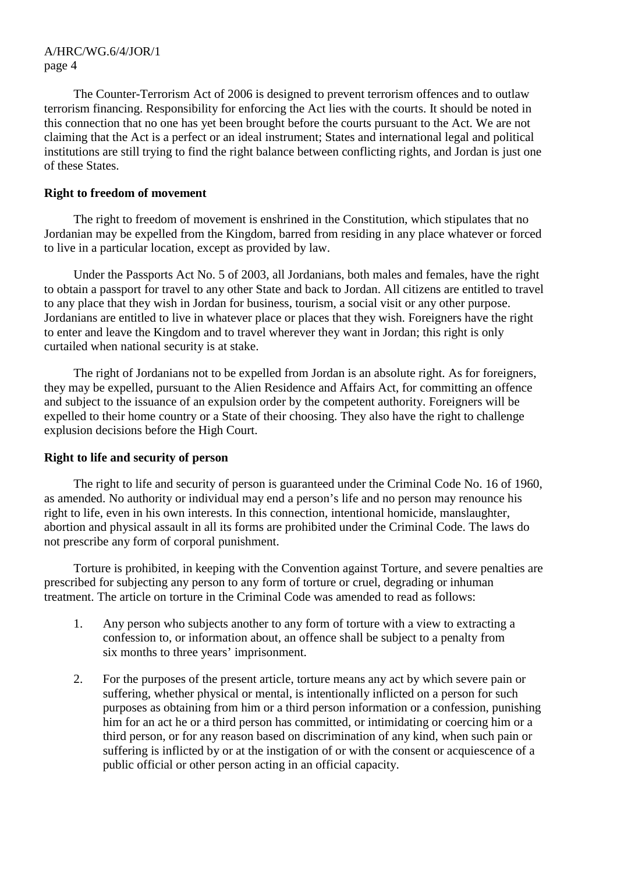The Counter-Terrorism Act of 2006 is designed to prevent terrorism offences and to outlaw terrorism financing. Responsibility for enforcing the Act lies with the courts. It should be noted in this connection that no one has yet been brought before the courts pursuant to the Act. We are not claiming that the Act is a perfect or an ideal instrument; States and international legal and political institutions are still trying to find the right balance between conflicting rights, and Jordan is just one of these States.

## **Right to freedom of movement**

 The right to freedom of movement is enshrined in the Constitution, which stipulates that no Jordanian may be expelled from the Kingdom, barred from residing in any place whatever or forced to live in a particular location, except as provided by law.

 Under the Passports Act No. 5 of 2003, all Jordanians, both males and females, have the right to obtain a passport for travel to any other State and back to Jordan. All citizens are entitled to travel to any place that they wish in Jordan for business, tourism, a social visit or any other purpose. Jordanians are entitled to live in whatever place or places that they wish. Foreigners have the right to enter and leave the Kingdom and to travel wherever they want in Jordan; this right is only curtailed when national security is at stake.

 The right of Jordanians not to be expelled from Jordan is an absolute right. As for foreigners, they may be expelled, pursuant to the Alien Residence and Affairs Act, for committing an offence and subject to the issuance of an expulsion order by the competent authority. Foreigners will be expelled to their home country or a State of their choosing. They also have the right to challenge explusion decisions before the High Court.

# **Right to life and security of person**

 The right to life and security of person is guaranteed under the Criminal Code No. 16 of 1960, as amended. No authority or individual may end a person's life and no person may renounce his right to life, even in his own interests. In this connection, intentional homicide, manslaughter, abortion and physical assault in all its forms are prohibited under the Criminal Code. The laws do not prescribe any form of corporal punishment.

 Torture is prohibited, in keeping with the Convention against Torture, and severe penalties are prescribed for subjecting any person to any form of torture or cruel, degrading or inhuman treatment. The article on torture in the Criminal Code was amended to read as follows:

- 1. Any person who subjects another to any form of torture with a view to extracting a confession to, or information about, an offence shall be subject to a penalty from six months to three years' imprisonment.
- 2. For the purposes of the present article, torture means any act by which severe pain or suffering, whether physical or mental, is intentionally inflicted on a person for such purposes as obtaining from him or a third person information or a confession, punishing him for an act he or a third person has committed, or intimidating or coercing him or a third person, or for any reason based on discrimination of any kind, when such pain or suffering is inflicted by or at the instigation of or with the consent or acquiescence of a public official or other person acting in an official capacity.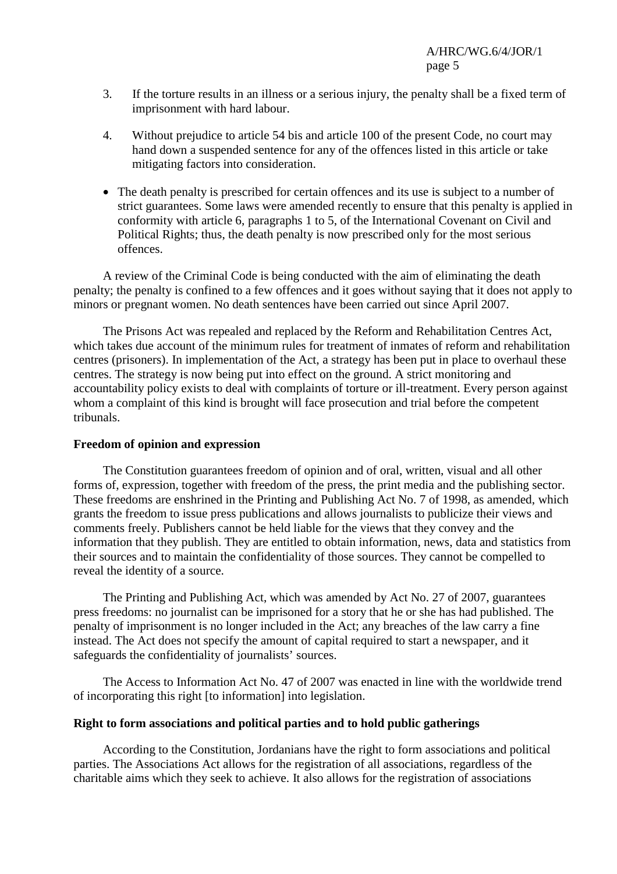- 3. If the torture results in an illness or a serious injury, the penalty shall be a fixed term of imprisonment with hard labour.
- 4. Without prejudice to article 54 bis and article 100 of the present Code, no court may hand down a suspended sentence for any of the offences listed in this article or take mitigating factors into consideration.
- The death penalty is prescribed for certain offences and its use is subject to a number of strict guarantees. Some laws were amended recently to ensure that this penalty is applied in conformity with article 6, paragraphs 1 to 5, of the International Covenant on Civil and Political Rights; thus, the death penalty is now prescribed only for the most serious offences.

 A review of the Criminal Code is being conducted with the aim of eliminating the death penalty; the penalty is confined to a few offences and it goes without saying that it does not apply to minors or pregnant women. No death sentences have been carried out since April 2007.

 The Prisons Act was repealed and replaced by the Reform and Rehabilitation Centres Act, which takes due account of the minimum rules for treatment of inmates of reform and rehabilitation centres (prisoners). In implementation of the Act, a strategy has been put in place to overhaul these centres. The strategy is now being put into effect on the ground. A strict monitoring and accountability policy exists to deal with complaints of torture or ill-treatment. Every person against whom a complaint of this kind is brought will face prosecution and trial before the competent tribunals.

## **Freedom of opinion and expression**

 The Constitution guarantees freedom of opinion and of oral, written, visual and all other forms of, expression, together with freedom of the press, the print media and the publishing sector. These freedoms are enshrined in the Printing and Publishing Act No. 7 of 1998, as amended, which grants the freedom to issue press publications and allows journalists to publicize their views and comments freely. Publishers cannot be held liable for the views that they convey and the information that they publish. They are entitled to obtain information, news, data and statistics from their sources and to maintain the confidentiality of those sources. They cannot be compelled to reveal the identity of a source.

 The Printing and Publishing Act, which was amended by Act No. 27 of 2007, guarantees press freedoms: no journalist can be imprisoned for a story that he or she has had published. The penalty of imprisonment is no longer included in the Act; any breaches of the law carry a fine instead. The Act does not specify the amount of capital required to start a newspaper, and it safeguards the confidentiality of journalists' sources.

 The Access to Information Act No. 47 of 2007 was enacted in line with the worldwide trend of incorporating this right [to information] into legislation.

## **Right to form associations and political parties and to hold public gatherings**

 According to the Constitution, Jordanians have the right to form associations and political parties. The Associations Act allows for the registration of all associations, regardless of the charitable aims which they seek to achieve. It also allows for the registration of associations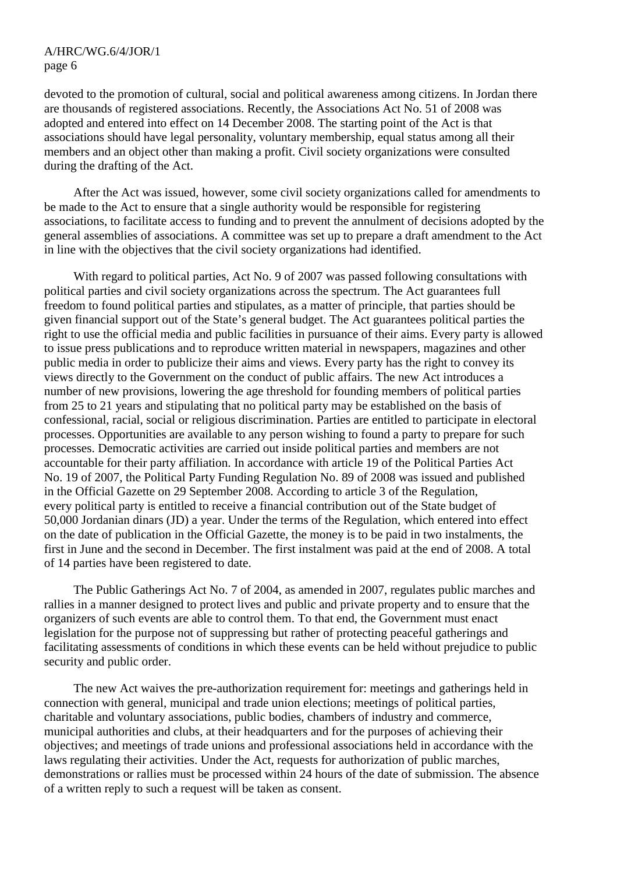devoted to the promotion of cultural, social and political awareness among citizens. In Jordan there are thousands of registered associations. Recently, the Associations Act No. 51 of 2008 was adopted and entered into effect on 14 December 2008. The starting point of the Act is that associations should have legal personality, voluntary membership, equal status among all their members and an object other than making a profit. Civil society organizations were consulted during the drafting of the Act.

 After the Act was issued, however, some civil society organizations called for amendments to be made to the Act to ensure that a single authority would be responsible for registering associations, to facilitate access to funding and to prevent the annulment of decisions adopted by the general assemblies of associations. A committee was set up to prepare a draft amendment to the Act in line with the objectives that the civil society organizations had identified.

 With regard to political parties, Act No. 9 of 2007 was passed following consultations with political parties and civil society organizations across the spectrum. The Act guarantees full freedom to found political parties and stipulates, as a matter of principle, that parties should be given financial support out of the State's general budget. The Act guarantees political parties the right to use the official media and public facilities in pursuance of their aims. Every party is allowed to issue press publications and to reproduce written material in newspapers, magazines and other public media in order to publicize their aims and views. Every party has the right to convey its views directly to the Government on the conduct of public affairs. The new Act introduces a number of new provisions, lowering the age threshold for founding members of political parties from 25 to 21 years and stipulating that no political party may be established on the basis of confessional, racial, social or religious discrimination. Parties are entitled to participate in electoral processes. Opportunities are available to any person wishing to found a party to prepare for such processes. Democratic activities are carried out inside political parties and members are not accountable for their party affiliation. In accordance with article 19 of the Political Parties Act No. 19 of 2007, the Political Party Funding Regulation No. 89 of 2008 was issued and published in the Official Gazette on 29 September 2008. According to article 3 of the Regulation, every political party is entitled to receive a financial contribution out of the State budget of 50,000 Jordanian dinars (JD) a year. Under the terms of the Regulation, which entered into effect on the date of publication in the Official Gazette, the money is to be paid in two instalments, the first in June and the second in December. The first instalment was paid at the end of 2008. A total of 14 parties have been registered to date.

 The Public Gatherings Act No. 7 of 2004, as amended in 2007, regulates public marches and rallies in a manner designed to protect lives and public and private property and to ensure that the organizers of such events are able to control them. To that end, the Government must enact legislation for the purpose not of suppressing but rather of protecting peaceful gatherings and facilitating assessments of conditions in which these events can be held without prejudice to public security and public order.

 The new Act waives the pre-authorization requirement for: meetings and gatherings held in connection with general, municipal and trade union elections; meetings of political parties, charitable and voluntary associations, public bodies, chambers of industry and commerce, municipal authorities and clubs, at their headquarters and for the purposes of achieving their objectives; and meetings of trade unions and professional associations held in accordance with the laws regulating their activities. Under the Act, requests for authorization of public marches, demonstrations or rallies must be processed within 24 hours of the date of submission. The absence of a written reply to such a request will be taken as consent.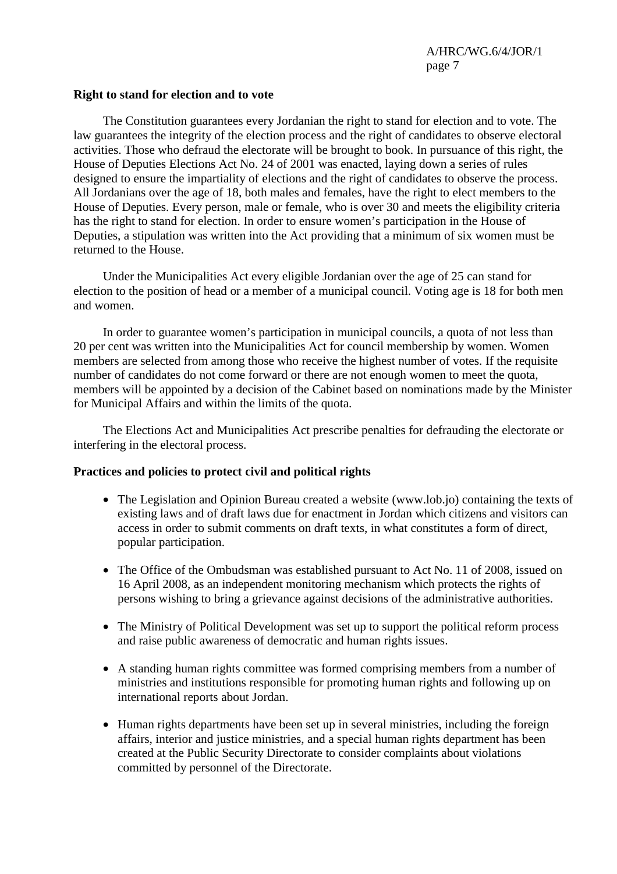## **Right to stand for election and to vote**

 The Constitution guarantees every Jordanian the right to stand for election and to vote. The law guarantees the integrity of the election process and the right of candidates to observe electoral activities. Those who defraud the electorate will be brought to book. In pursuance of this right, the House of Deputies Elections Act No. 24 of 2001 was enacted, laying down a series of rules designed to ensure the impartiality of elections and the right of candidates to observe the process. All Jordanians over the age of 18, both males and females, have the right to elect members to the House of Deputies. Every person, male or female, who is over 30 and meets the eligibility criteria has the right to stand for election. In order to ensure women's participation in the House of Deputies, a stipulation was written into the Act providing that a minimum of six women must be returned to the House.

 Under the Municipalities Act every eligible Jordanian over the age of 25 can stand for election to the position of head or a member of a municipal council. Voting age is 18 for both men and women.

 In order to guarantee women's participation in municipal councils, a quota of not less than 20 per cent was written into the Municipalities Act for council membership by women. Women members are selected from among those who receive the highest number of votes. If the requisite number of candidates do not come forward or there are not enough women to meet the quota, members will be appointed by a decision of the Cabinet based on nominations made by the Minister for Municipal Affairs and within the limits of the quota.

 The Elections Act and Municipalities Act prescribe penalties for defrauding the electorate or interfering in the electoral process.

## **Practices and policies to protect civil and political rights**

- The Legislation and Opinion Bureau created a website (www.lob.jo) containing the texts of existing laws and of draft laws due for enactment in Jordan which citizens and visitors can access in order to submit comments on draft texts, in what constitutes a form of direct, popular participation.
- The Office of the Ombudsman was established pursuant to Act No. 11 of 2008, issued on 16 April 2008, as an independent monitoring mechanism which protects the rights of persons wishing to bring a grievance against decisions of the administrative authorities.
- The Ministry of Political Development was set up to support the political reform process and raise public awareness of democratic and human rights issues.
- A standing human rights committee was formed comprising members from a number of ministries and institutions responsible for promoting human rights and following up on international reports about Jordan.
- Human rights departments have been set up in several ministries, including the foreign affairs, interior and justice ministries, and a special human rights department has been created at the Public Security Directorate to consider complaints about violations committed by personnel of the Directorate.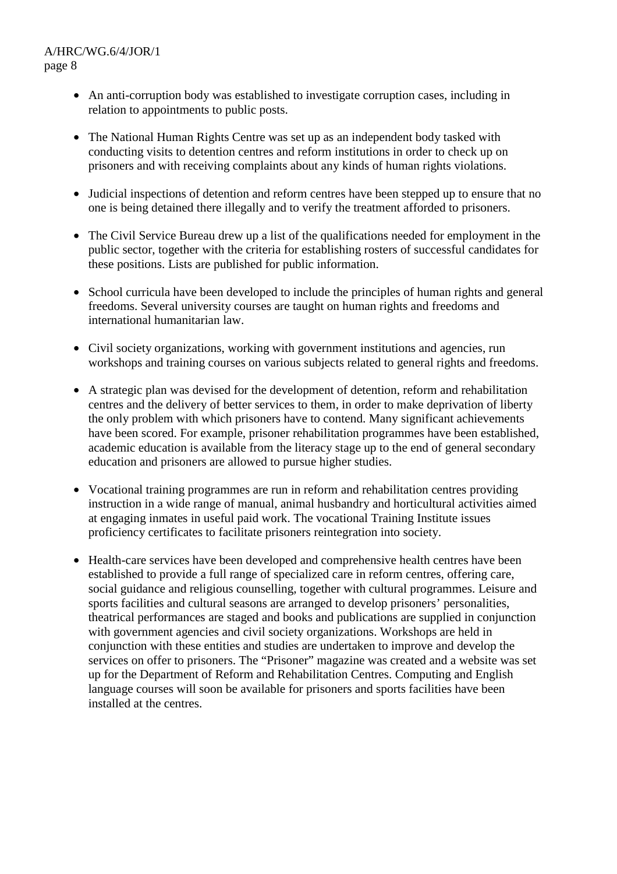- An anti-corruption body was established to investigate corruption cases, including in relation to appointments to public posts.
- The National Human Rights Centre was set up as an independent body tasked with conducting visits to detention centres and reform institutions in order to check up on prisoners and with receiving complaints about any kinds of human rights violations.
- Judicial inspections of detention and reform centres have been stepped up to ensure that no one is being detained there illegally and to verify the treatment afforded to prisoners.
- The Civil Service Bureau drew up a list of the qualifications needed for employment in the public sector, together with the criteria for establishing rosters of successful candidates for these positions. Lists are published for public information.
- School curricula have been developed to include the principles of human rights and general freedoms. Several university courses are taught on human rights and freedoms and international humanitarian law.
- Civil society organizations, working with government institutions and agencies, run workshops and training courses on various subjects related to general rights and freedoms.
- A strategic plan was devised for the development of detention, reform and rehabilitation centres and the delivery of better services to them, in order to make deprivation of liberty the only problem with which prisoners have to contend. Many significant achievements have been scored. For example, prisoner rehabilitation programmes have been established, academic education is available from the literacy stage up to the end of general secondary education and prisoners are allowed to pursue higher studies.
- Vocational training programmes are run in reform and rehabilitation centres providing instruction in a wide range of manual, animal husbandry and horticultural activities aimed at engaging inmates in useful paid work. The vocational Training Institute issues proficiency certificates to facilitate prisoners reintegration into society.
- Health-care services have been developed and comprehensive health centres have been established to provide a full range of specialized care in reform centres, offering care, social guidance and religious counselling, together with cultural programmes. Leisure and sports facilities and cultural seasons are arranged to develop prisoners' personalities, theatrical performances are staged and books and publications are supplied in conjunction with government agencies and civil society organizations. Workshops are held in conjunction with these entities and studies are undertaken to improve and develop the services on offer to prisoners. The "Prisoner" magazine was created and a website was set up for the Department of Reform and Rehabilitation Centres. Computing and English language courses will soon be available for prisoners and sports facilities have been installed at the centres.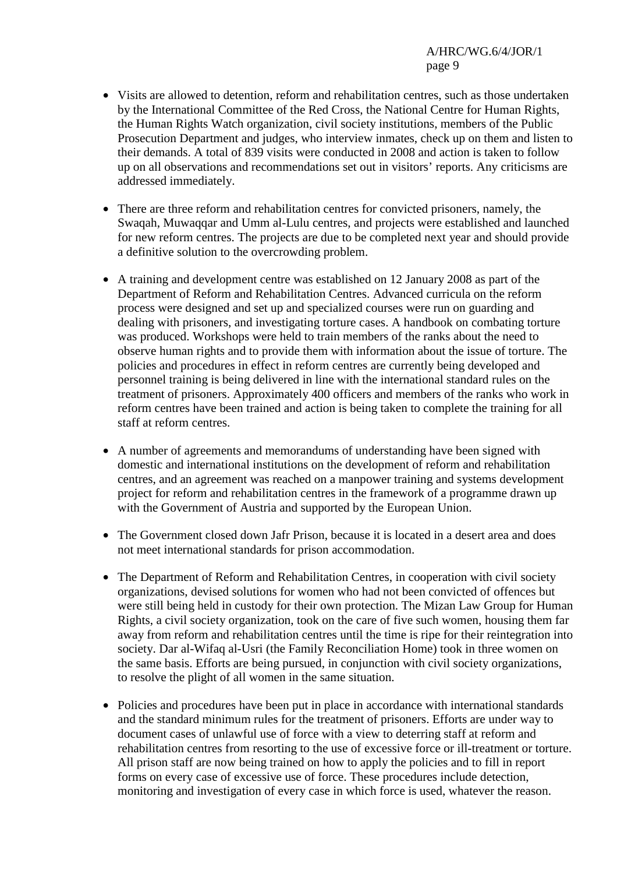- Visits are allowed to detention, reform and rehabilitation centres, such as those undertaken by the International Committee of the Red Cross, the National Centre for Human Rights, the Human Rights Watch organization, civil society institutions, members of the Public Prosecution Department and judges, who interview inmates, check up on them and listen to their demands. A total of 839 visits were conducted in 2008 and action is taken to follow up on all observations and recommendations set out in visitors' reports. Any criticisms are addressed immediately.
- There are three reform and rehabilitation centres for convicted prisoners, namely, the Swaqah, Muwaqqar and Umm al-Lulu centres, and projects were established and launched for new reform centres. The projects are due to be completed next year and should provide a definitive solution to the overcrowding problem.
- A training and development centre was established on 12 January 2008 as part of the Department of Reform and Rehabilitation Centres. Advanced curricula on the reform process were designed and set up and specialized courses were run on guarding and dealing with prisoners, and investigating torture cases. A handbook on combating torture was produced. Workshops were held to train members of the ranks about the need to observe human rights and to provide them with information about the issue of torture. The policies and procedures in effect in reform centres are currently being developed and personnel training is being delivered in line with the international standard rules on the treatment of prisoners. Approximately 400 officers and members of the ranks who work in reform centres have been trained and action is being taken to complete the training for all staff at reform centres.
- A number of agreements and memorandums of understanding have been signed with domestic and international institutions on the development of reform and rehabilitation centres, and an agreement was reached on a manpower training and systems development project for reform and rehabilitation centres in the framework of a programme drawn up with the Government of Austria and supported by the European Union.
- The Government closed down Jafr Prison, because it is located in a desert area and does not meet international standards for prison accommodation.
- The Department of Reform and Rehabilitation Centres, in cooperation with civil society organizations, devised solutions for women who had not been convicted of offences but were still being held in custody for their own protection. The Mizan Law Group for Human Rights, a civil society organization, took on the care of five such women, housing them far away from reform and rehabilitation centres until the time is ripe for their reintegration into society. Dar al-Wifaq al-Usri (the Family Reconciliation Home) took in three women on the same basis. Efforts are being pursued, in conjunction with civil society organizations, to resolve the plight of all women in the same situation.
- Policies and procedures have been put in place in accordance with international standards and the standard minimum rules for the treatment of prisoners. Efforts are under way to document cases of unlawful use of force with a view to deterring staff at reform and rehabilitation centres from resorting to the use of excessive force or ill-treatment or torture. All prison staff are now being trained on how to apply the policies and to fill in report forms on every case of excessive use of force. These procedures include detection, monitoring and investigation of every case in which force is used, whatever the reason.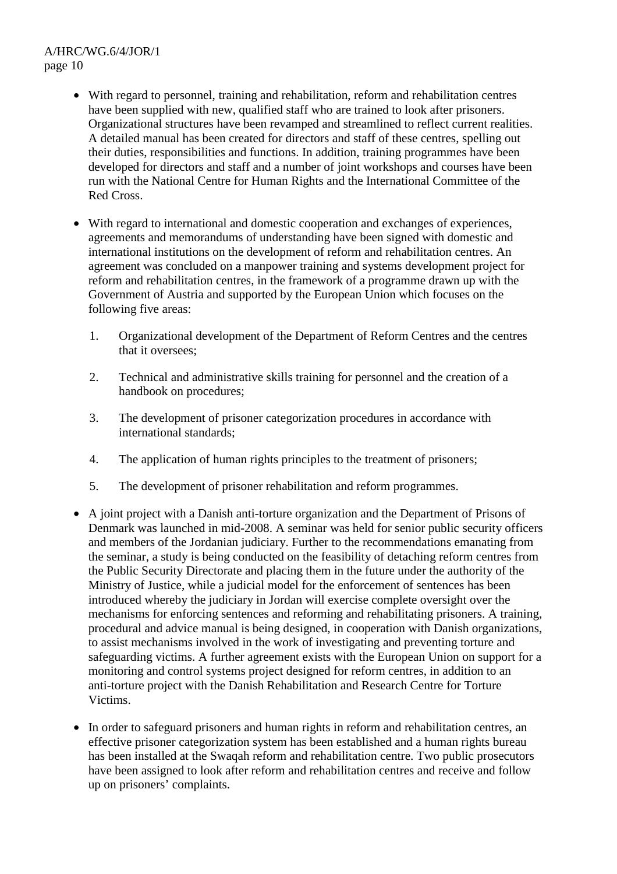- With regard to personnel, training and rehabilitation, reform and rehabilitation centres have been supplied with new, qualified staff who are trained to look after prisoners. Organizational structures have been revamped and streamlined to reflect current realities. A detailed manual has been created for directors and staff of these centres, spelling out their duties, responsibilities and functions. In addition, training programmes have been developed for directors and staff and a number of joint workshops and courses have been run with the National Centre for Human Rights and the International Committee of the Red Cross.
- With regard to international and domestic cooperation and exchanges of experiences, agreements and memorandums of understanding have been signed with domestic and international institutions on the development of reform and rehabilitation centres. An agreement was concluded on a manpower training and systems development project for reform and rehabilitation centres, in the framework of a programme drawn up with the Government of Austria and supported by the European Union which focuses on the following five areas:
	- 1. Organizational development of the Department of Reform Centres and the centres that it oversees;
	- 2. Technical and administrative skills training for personnel and the creation of a handbook on procedures;
	- 3. The development of prisoner categorization procedures in accordance with international standards;
	- 4. The application of human rights principles to the treatment of prisoners;
	- 5. The development of prisoner rehabilitation and reform programmes.
- A joint project with a Danish anti-torture organization and the Department of Prisons of Denmark was launched in mid-2008. A seminar was held for senior public security officers and members of the Jordanian judiciary. Further to the recommendations emanating from the seminar, a study is being conducted on the feasibility of detaching reform centres from the Public Security Directorate and placing them in the future under the authority of the Ministry of Justice, while a judicial model for the enforcement of sentences has been introduced whereby the judiciary in Jordan will exercise complete oversight over the mechanisms for enforcing sentences and reforming and rehabilitating prisoners. A training, procedural and advice manual is being designed, in cooperation with Danish organizations, to assist mechanisms involved in the work of investigating and preventing torture and safeguarding victims. A further agreement exists with the European Union on support for a monitoring and control systems project designed for reform centres, in addition to an anti-torture project with the Danish Rehabilitation and Research Centre for Torture Victims.
- In order to safeguard prisoners and human rights in reform and rehabilitation centres, an effective prisoner categorization system has been established and a human rights bureau has been installed at the Swaqah reform and rehabilitation centre. Two public prosecutors have been assigned to look after reform and rehabilitation centres and receive and follow up on prisoners' complaints.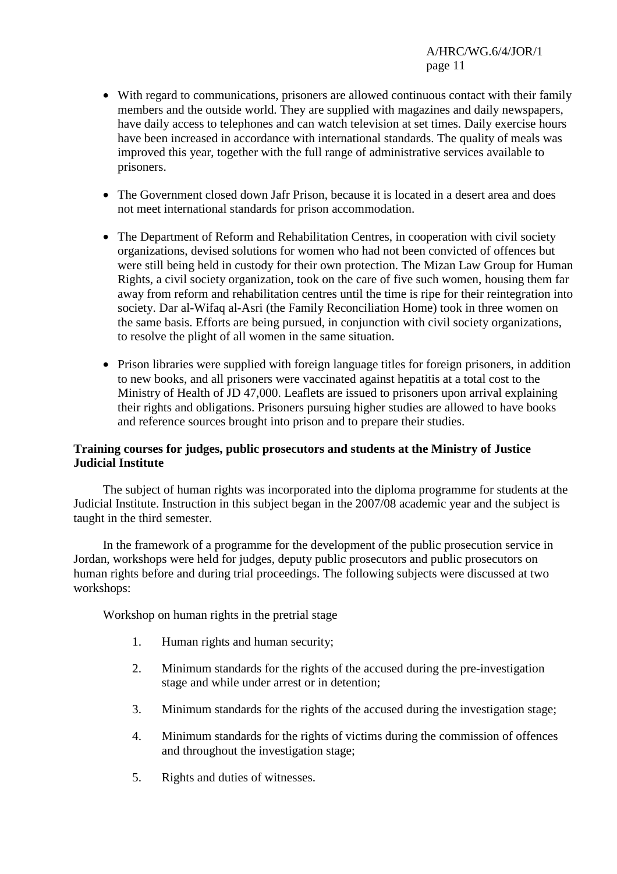- With regard to communications, prisoners are allowed continuous contact with their family members and the outside world. They are supplied with magazines and daily newspapers, have daily access to telephones and can watch television at set times. Daily exercise hours have been increased in accordance with international standards. The quality of meals was improved this year, together with the full range of administrative services available to prisoners.
- The Government closed down Jafr Prison, because it is located in a desert area and does not meet international standards for prison accommodation.
- The Department of Reform and Rehabilitation Centres, in cooperation with civil society organizations, devised solutions for women who had not been convicted of offences but were still being held in custody for their own protection. The Mizan Law Group for Human Rights, a civil society organization, took on the care of five such women, housing them far away from reform and rehabilitation centres until the time is ripe for their reintegration into society. Dar al-Wifaq al-Asri (the Family Reconciliation Home) took in three women on the same basis. Efforts are being pursued, in conjunction with civil society organizations, to resolve the plight of all women in the same situation.
- Prison libraries were supplied with foreign language titles for foreign prisoners, in addition to new books, and all prisoners were vaccinated against hepatitis at a total cost to the Ministry of Health of JD 47,000. Leaflets are issued to prisoners upon arrival explaining their rights and obligations. Prisoners pursuing higher studies are allowed to have books and reference sources brought into prison and to prepare their studies.

## **Training courses for judges, public prosecutors and students at the Ministry of Justice Judicial Institute**

 The subject of human rights was incorporated into the diploma programme for students at the Judicial Institute. Instruction in this subject began in the 2007/08 academic year and the subject is taught in the third semester.

 In the framework of a programme for the development of the public prosecution service in Jordan, workshops were held for judges, deputy public prosecutors and public prosecutors on human rights before and during trial proceedings. The following subjects were discussed at two workshops:

Workshop on human rights in the pretrial stage

- 1. Human rights and human security;
- 2. Minimum standards for the rights of the accused during the pre-investigation stage and while under arrest or in detention;
- 3. Minimum standards for the rights of the accused during the investigation stage;
- 4. Minimum standards for the rights of victims during the commission of offences and throughout the investigation stage;
- 5. Rights and duties of witnesses.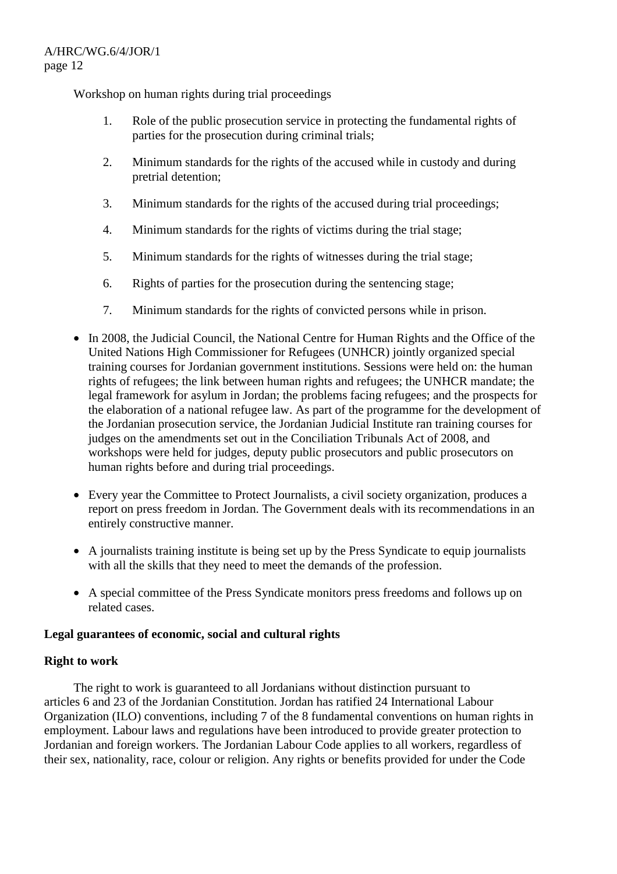Workshop on human rights during trial proceedings

- 1. Role of the public prosecution service in protecting the fundamental rights of parties for the prosecution during criminal trials;
- 2. Minimum standards for the rights of the accused while in custody and during pretrial detention;
- 3. Minimum standards for the rights of the accused during trial proceedings;
- 4. Minimum standards for the rights of victims during the trial stage;
- 5. Minimum standards for the rights of witnesses during the trial stage;
- 6. Rights of parties for the prosecution during the sentencing stage;
- 7. Minimum standards for the rights of convicted persons while in prison.
- In 2008, the Judicial Council, the National Centre for Human Rights and the Office of the United Nations High Commissioner for Refugees (UNHCR) jointly organized special training courses for Jordanian government institutions. Sessions were held on: the human rights of refugees; the link between human rights and refugees; the UNHCR mandate; the legal framework for asylum in Jordan; the problems facing refugees; and the prospects for the elaboration of a national refugee law. As part of the programme for the development of the Jordanian prosecution service, the Jordanian Judicial Institute ran training courses for judges on the amendments set out in the Conciliation Tribunals Act of 2008, and workshops were held for judges, deputy public prosecutors and public prosecutors on human rights before and during trial proceedings.
- Every year the Committee to Protect Journalists, a civil society organization, produces a report on press freedom in Jordan. The Government deals with its recommendations in an entirely constructive manner.
- A journalists training institute is being set up by the Press Syndicate to equip journalists with all the skills that they need to meet the demands of the profession.
- A special committee of the Press Syndicate monitors press freedoms and follows up on related cases.

## **Legal guarantees of economic, social and cultural rights**

## **Right to work**

 The right to work is guaranteed to all Jordanians without distinction pursuant to articles 6 and 23 of the Jordanian Constitution. Jordan has ratified 24 International Labour Organization (ILO) conventions, including 7 of the 8 fundamental conventions on human rights in employment. Labour laws and regulations have been introduced to provide greater protection to Jordanian and foreign workers. The Jordanian Labour Code applies to all workers, regardless of their sex, nationality, race, colour or religion. Any rights or benefits provided for under the Code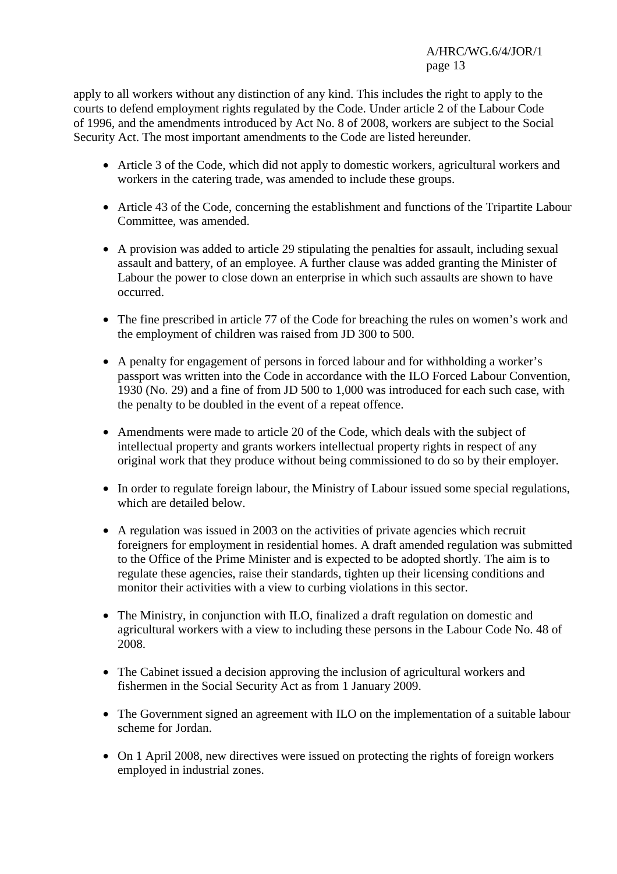apply to all workers without any distinction of any kind. This includes the right to apply to the courts to defend employment rights regulated by the Code. Under article 2 of the Labour Code of 1996, and the amendments introduced by Act No. 8 of 2008, workers are subject to the Social Security Act. The most important amendments to the Code are listed hereunder.

- Article 3 of the Code, which did not apply to domestic workers, agricultural workers and workers in the catering trade, was amended to include these groups.
- Article 43 of the Code, concerning the establishment and functions of the Tripartite Labour Committee, was amended.
- A provision was added to article 29 stipulating the penalties for assault, including sexual assault and battery, of an employee. A further clause was added granting the Minister of Labour the power to close down an enterprise in which such assaults are shown to have occurred.
- The fine prescribed in article 77 of the Code for breaching the rules on women's work and the employment of children was raised from JD 300 to 500.
- A penalty for engagement of persons in forced labour and for withholding a worker's passport was written into the Code in accordance with the ILO Forced Labour Convention, 1930 (No. 29) and a fine of from JD 500 to 1,000 was introduced for each such case, with the penalty to be doubled in the event of a repeat offence.
- Amendments were made to article 20 of the Code, which deals with the subject of intellectual property and grants workers intellectual property rights in respect of any original work that they produce without being commissioned to do so by their employer.
- In order to regulate foreign labour, the Ministry of Labour issued some special regulations, which are detailed below.
- A regulation was issued in 2003 on the activities of private agencies which recruit foreigners for employment in residential homes. A draft amended regulation was submitted to the Office of the Prime Minister and is expected to be adopted shortly. The aim is to regulate these agencies, raise their standards, tighten up their licensing conditions and monitor their activities with a view to curbing violations in this sector.
- The Ministry, in conjunction with ILO, finalized a draft regulation on domestic and agricultural workers with a view to including these persons in the Labour Code No. 48 of 2008.
- The Cabinet issued a decision approving the inclusion of agricultural workers and fishermen in the Social Security Act as from 1 January 2009.
- The Government signed an agreement with ILO on the implementation of a suitable labour scheme for Jordan.
- On 1 April 2008, new directives were issued on protecting the rights of foreign workers employed in industrial zones.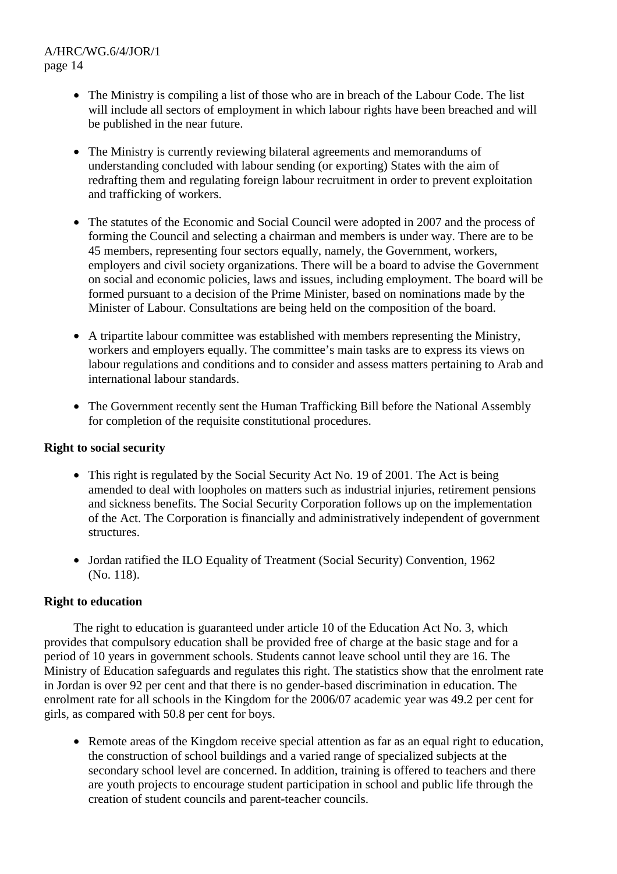- The Ministry is compiling a list of those who are in breach of the Labour Code. The list will include all sectors of employment in which labour rights have been breached and will be published in the near future.
- The Ministry is currently reviewing bilateral agreements and memorandums of understanding concluded with labour sending (or exporting) States with the aim of redrafting them and regulating foreign labour recruitment in order to prevent exploitation and trafficking of workers.
- The statutes of the Economic and Social Council were adopted in 2007 and the process of forming the Council and selecting a chairman and members is under way. There are to be 45 members, representing four sectors equally, namely, the Government, workers, employers and civil society organizations. There will be a board to advise the Government on social and economic policies, laws and issues, including employment. The board will be formed pursuant to a decision of the Prime Minister, based on nominations made by the Minister of Labour. Consultations are being held on the composition of the board.
- A tripartite labour committee was established with members representing the Ministry, workers and employers equally. The committee's main tasks are to express its views on labour regulations and conditions and to consider and assess matters pertaining to Arab and international labour standards.
- The Government recently sent the Human Trafficking Bill before the National Assembly for completion of the requisite constitutional procedures.

# **Right to social security**

- This right is regulated by the Social Security Act No. 19 of 2001. The Act is being amended to deal with loopholes on matters such as industrial injuries, retirement pensions and sickness benefits. The Social Security Corporation follows up on the implementation of the Act. The Corporation is financially and administratively independent of government structures.
- Jordan ratified the ILO Equality of Treatment (Social Security) Convention, 1962 (No. 118).

# **Right to education**

 The right to education is guaranteed under article 10 of the Education Act No. 3, which provides that compulsory education shall be provided free of charge at the basic stage and for a period of 10 years in government schools. Students cannot leave school until they are 16. The Ministry of Education safeguards and regulates this right. The statistics show that the enrolment rate in Jordan is over 92 per cent and that there is no gender-based discrimination in education. The enrolment rate for all schools in the Kingdom for the 2006/07 academic year was 49.2 per cent for girls, as compared with 50.8 per cent for boys.

• Remote areas of the Kingdom receive special attention as far as an equal right to education, the construction of school buildings and a varied range of specialized subjects at the secondary school level are concerned. In addition, training is offered to teachers and there are youth projects to encourage student participation in school and public life through the creation of student councils and parent-teacher councils.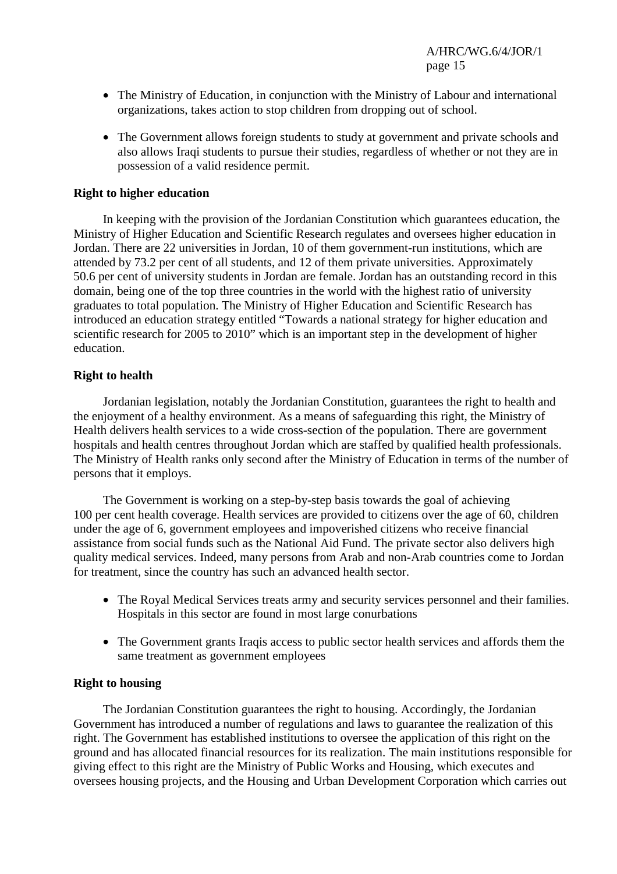- The Ministry of Education, in conjunction with the Ministry of Labour and international organizations, takes action to stop children from dropping out of school.
- The Government allows foreign students to study at government and private schools and also allows Iraqi students to pursue their studies, regardless of whether or not they are in possession of a valid residence permit.

#### **Right to higher education**

 In keeping with the provision of the Jordanian Constitution which guarantees education, the Ministry of Higher Education and Scientific Research regulates and oversees higher education in Jordan. There are 22 universities in Jordan, 10 of them government-run institutions, which are attended by 73.2 per cent of all students, and 12 of them private universities. Approximately 50.6 per cent of university students in Jordan are female. Jordan has an outstanding record in this domain, being one of the top three countries in the world with the highest ratio of university graduates to total population. The Ministry of Higher Education and Scientific Research has introduced an education strategy entitled "Towards a national strategy for higher education and scientific research for 2005 to 2010" which is an important step in the development of higher education.

## **Right to health**

 Jordanian legislation, notably the Jordanian Constitution, guarantees the right to health and the enjoyment of a healthy environment. As a means of safeguarding this right, the Ministry of Health delivers health services to a wide cross-section of the population. There are government hospitals and health centres throughout Jordan which are staffed by qualified health professionals. The Ministry of Health ranks only second after the Ministry of Education in terms of the number of persons that it employs.

 The Government is working on a step-by-step basis towards the goal of achieving 100 per cent health coverage. Health services are provided to citizens over the age of 60, children under the age of 6, government employees and impoverished citizens who receive financial assistance from social funds such as the National Aid Fund. The private sector also delivers high quality medical services. Indeed, many persons from Arab and non-Arab countries come to Jordan for treatment, since the country has such an advanced health sector.

- The Royal Medical Services treats army and security services personnel and their families. Hospitals in this sector are found in most large conurbations
- The Government grants Iraqis access to public sector health services and affords them the same treatment as government employees

#### **Right to housing**

 The Jordanian Constitution guarantees the right to housing. Accordingly, the Jordanian Government has introduced a number of regulations and laws to guarantee the realization of this right. The Government has established institutions to oversee the application of this right on the ground and has allocated financial resources for its realization. The main institutions responsible for giving effect to this right are the Ministry of Public Works and Housing, which executes and oversees housing projects, and the Housing and Urban Development Corporation which carries out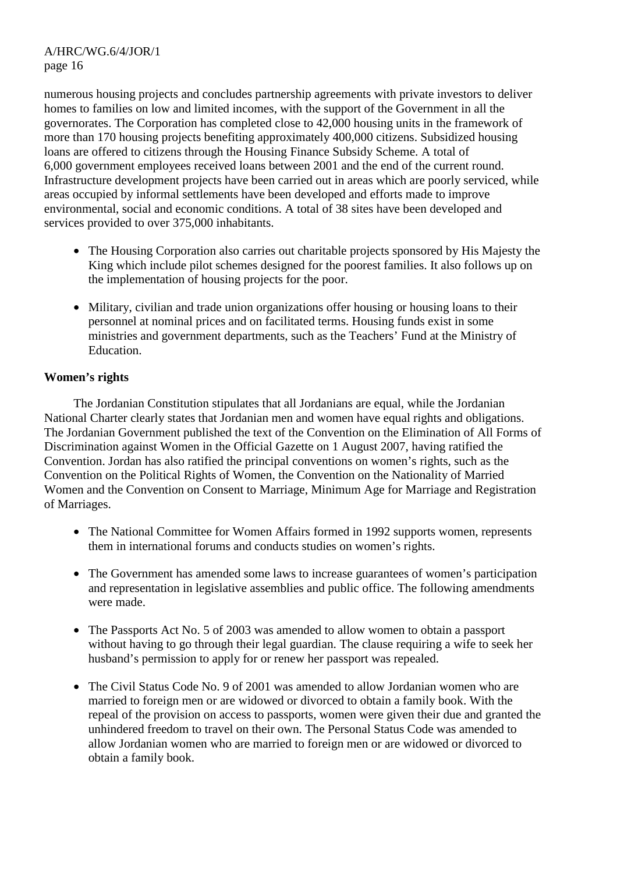numerous housing projects and concludes partnership agreements with private investors to deliver homes to families on low and limited incomes, with the support of the Government in all the governorates. The Corporation has completed close to 42,000 housing units in the framework of more than 170 housing projects benefiting approximately 400,000 citizens. Subsidized housing loans are offered to citizens through the Housing Finance Subsidy Scheme. A total of 6,000 government employees received loans between 2001 and the end of the current round. Infrastructure development projects have been carried out in areas which are poorly serviced, while areas occupied by informal settlements have been developed and efforts made to improve environmental, social and economic conditions. A total of 38 sites have been developed and services provided to over 375,000 inhabitants.

- The Housing Corporation also carries out charitable projects sponsored by His Majesty the King which include pilot schemes designed for the poorest families. It also follows up on the implementation of housing projects for the poor.
- Military, civilian and trade union organizations offer housing or housing loans to their personnel at nominal prices and on facilitated terms. Housing funds exist in some ministries and government departments, such as the Teachers' Fund at the Ministry of Education.

# **Women's rights**

 The Jordanian Constitution stipulates that all Jordanians are equal, while the Jordanian National Charter clearly states that Jordanian men and women have equal rights and obligations. The Jordanian Government published the text of the Convention on the Elimination of All Forms of Discrimination against Women in the Official Gazette on 1 August 2007, having ratified the Convention. Jordan has also ratified the principal conventions on women's rights, such as the Convention on the Political Rights of Women, the Convention on the Nationality of Married Women and the Convention on Consent to Marriage, Minimum Age for Marriage and Registration of Marriages.

- The National Committee for Women Affairs formed in 1992 supports women, represents them in international forums and conducts studies on women's rights.
- The Government has amended some laws to increase guarantees of women's participation and representation in legislative assemblies and public office. The following amendments were made.
- The Passports Act No. 5 of 2003 was amended to allow women to obtain a passport without having to go through their legal guardian. The clause requiring a wife to seek her husband's permission to apply for or renew her passport was repealed.
- The Civil Status Code No. 9 of 2001 was amended to allow Jordanian women who are married to foreign men or are widowed or divorced to obtain a family book. With the repeal of the provision on access to passports, women were given their due and granted the unhindered freedom to travel on their own. The Personal Status Code was amended to allow Jordanian women who are married to foreign men or are widowed or divorced to obtain a family book.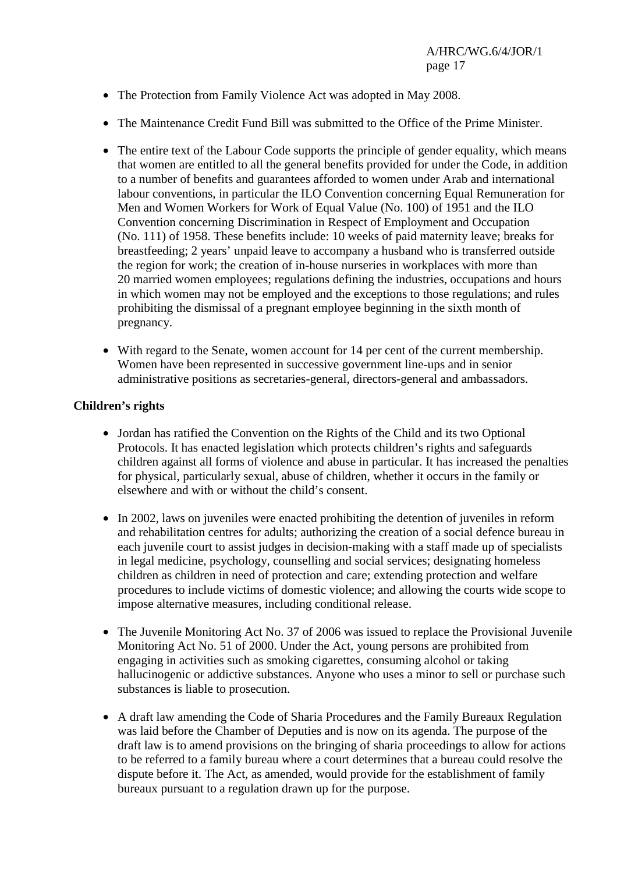- The Protection from Family Violence Act was adopted in May 2008.
- The Maintenance Credit Fund Bill was submitted to the Office of the Prime Minister.
- The entire text of the Labour Code supports the principle of gender equality, which means that women are entitled to all the general benefits provided for under the Code, in addition to a number of benefits and guarantees afforded to women under Arab and international labour conventions, in particular the ILO Convention concerning Equal Remuneration for Men and Women Workers for Work of Equal Value (No. 100) of 1951 and the ILO Convention concerning Discrimination in Respect of Employment and Occupation (No. 111) of 1958. These benefits include: 10 weeks of paid maternity leave; breaks for breastfeeding; 2 years' unpaid leave to accompany a husband who is transferred outside the region for work; the creation of in-house nurseries in workplaces with more than 20 married women employees; regulations defining the industries, occupations and hours in which women may not be employed and the exceptions to those regulations; and rules prohibiting the dismissal of a pregnant employee beginning in the sixth month of pregnancy.
- With regard to the Senate, women account for 14 per cent of the current membership. Women have been represented in successive government line-ups and in senior administrative positions as secretaries-general, directors-general and ambassadors.

## **Children's rights**

- Jordan has ratified the Convention on the Rights of the Child and its two Optional Protocols. It has enacted legislation which protects children's rights and safeguards children against all forms of violence and abuse in particular. It has increased the penalties for physical, particularly sexual, abuse of children, whether it occurs in the family or elsewhere and with or without the child's consent.
- In 2002, laws on juveniles were enacted prohibiting the detention of juveniles in reform and rehabilitation centres for adults; authorizing the creation of a social defence bureau in each juvenile court to assist judges in decision-making with a staff made up of specialists in legal medicine, psychology, counselling and social services; designating homeless children as children in need of protection and care; extending protection and welfare procedures to include victims of domestic violence; and allowing the courts wide scope to impose alternative measures, including conditional release.
- The Juvenile Monitoring Act No. 37 of 2006 was issued to replace the Provisional Juvenile Monitoring Act No. 51 of 2000. Under the Act, young persons are prohibited from engaging in activities such as smoking cigarettes, consuming alcohol or taking hallucinogenic or addictive substances. Anyone who uses a minor to sell or purchase such substances is liable to prosecution.
- A draft law amending the Code of Sharia Procedures and the Family Bureaux Regulation was laid before the Chamber of Deputies and is now on its agenda. The purpose of the draft law is to amend provisions on the bringing of sharia proceedings to allow for actions to be referred to a family bureau where a court determines that a bureau could resolve the dispute before it. The Act, as amended, would provide for the establishment of family bureaux pursuant to a regulation drawn up for the purpose.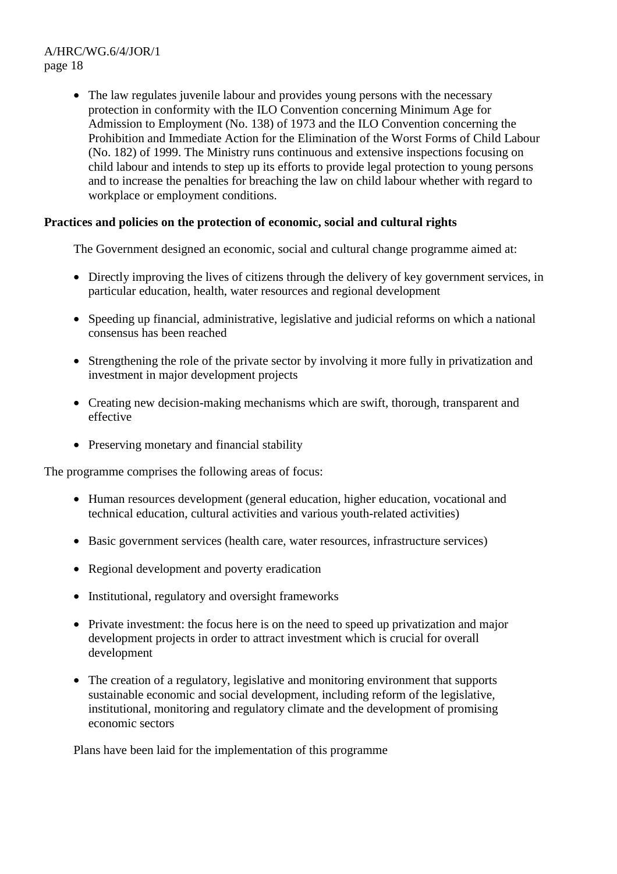• The law regulates juvenile labour and provides young persons with the necessary protection in conformity with the ILO Convention concerning Minimum Age for Admission to Employment (No. 138) of 1973 and the ILO Convention concerning the Prohibition and Immediate Action for the Elimination of the Worst Forms of Child Labour (No. 182) of 1999. The Ministry runs continuous and extensive inspections focusing on child labour and intends to step up its efforts to provide legal protection to young persons and to increase the penalties for breaching the law on child labour whether with regard to workplace or employment conditions.

# **Practices and policies on the protection of economic, social and cultural rights**

The Government designed an economic, social and cultural change programme aimed at:

- Directly improving the lives of citizens through the delivery of key government services, in particular education, health, water resources and regional development
- Speeding up financial, administrative, legislative and judicial reforms on which a national consensus has been reached
- Strengthening the role of the private sector by involving it more fully in privatization and investment in major development projects
- Creating new decision-making mechanisms which are swift, thorough, transparent and effective
- Preserving monetary and financial stability

The programme comprises the following areas of focus:

- Human resources development (general education, higher education, vocational and technical education, cultural activities and various youth-related activities)
- Basic government services (health care, water resources, infrastructure services)
- Regional development and poverty eradication
- Institutional, regulatory and oversight frameworks
- Private investment: the focus here is on the need to speed up privatization and major development projects in order to attract investment which is crucial for overall development
- The creation of a regulatory, legislative and monitoring environment that supports sustainable economic and social development, including reform of the legislative, institutional, monitoring and regulatory climate and the development of promising economic sectors

Plans have been laid for the implementation of this programme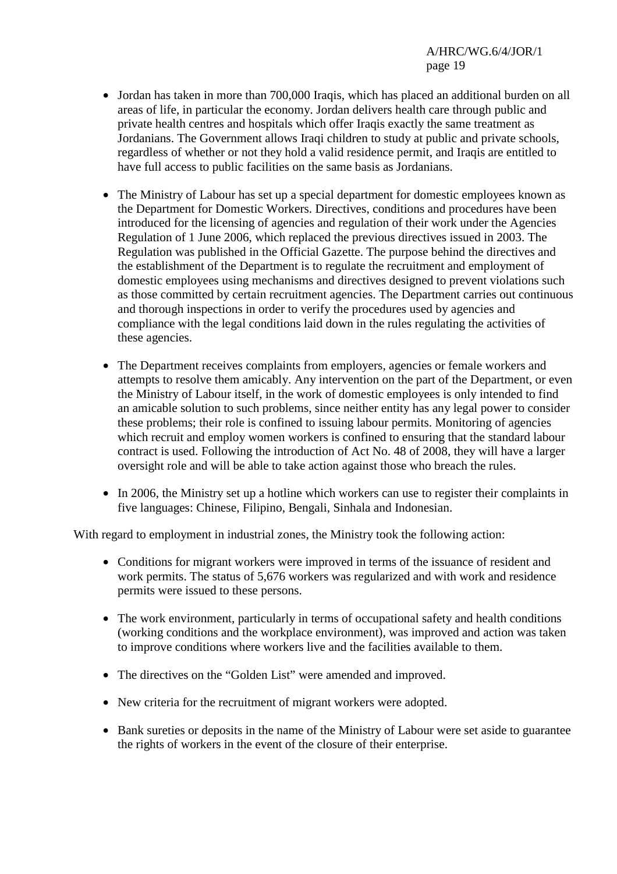- Jordan has taken in more than 700,000 Iraqis, which has placed an additional burden on all areas of life, in particular the economy. Jordan delivers health care through public and private health centres and hospitals which offer Iraqis exactly the same treatment as Jordanians. The Government allows Iraqi children to study at public and private schools, regardless of whether or not they hold a valid residence permit, and Iraqis are entitled to have full access to public facilities on the same basis as Jordanians.
- The Ministry of Labour has set up a special department for domestic employees known as the Department for Domestic Workers. Directives, conditions and procedures have been introduced for the licensing of agencies and regulation of their work under the Agencies Regulation of 1 June 2006, which replaced the previous directives issued in 2003. The Regulation was published in the Official Gazette. The purpose behind the directives and the establishment of the Department is to regulate the recruitment and employment of domestic employees using mechanisms and directives designed to prevent violations such as those committed by certain recruitment agencies. The Department carries out continuous and thorough inspections in order to verify the procedures used by agencies and compliance with the legal conditions laid down in the rules regulating the activities of these agencies.
- The Department receives complaints from employers, agencies or female workers and attempts to resolve them amicably. Any intervention on the part of the Department, or even the Ministry of Labour itself, in the work of domestic employees is only intended to find an amicable solution to such problems, since neither entity has any legal power to consider these problems; their role is confined to issuing labour permits. Monitoring of agencies which recruit and employ women workers is confined to ensuring that the standard labour contract is used. Following the introduction of Act No. 48 of 2008, they will have a larger oversight role and will be able to take action against those who breach the rules.
- In 2006, the Ministry set up a hotline which workers can use to register their complaints in five languages: Chinese, Filipino, Bengali, Sinhala and Indonesian.

With regard to employment in industrial zones, the Ministry took the following action:

- Conditions for migrant workers were improved in terms of the issuance of resident and work permits. The status of 5,676 workers was regularized and with work and residence permits were issued to these persons.
- The work environment, particularly in terms of occupational safety and health conditions (working conditions and the workplace environment), was improved and action was taken to improve conditions where workers live and the facilities available to them.
- The directives on the "Golden List" were amended and improved.
- New criteria for the recruitment of migrant workers were adopted.
- Bank sureties or deposits in the name of the Ministry of Labour were set aside to guarantee the rights of workers in the event of the closure of their enterprise.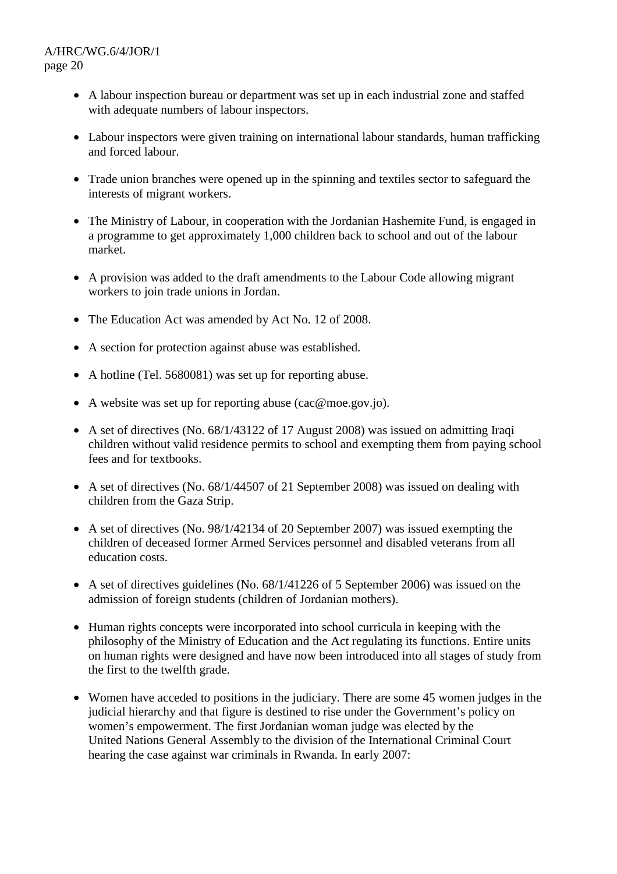- A labour inspection bureau or department was set up in each industrial zone and staffed with adequate numbers of labour inspectors.
- Labour inspectors were given training on international labour standards, human trafficking and forced labour.
- Trade union branches were opened up in the spinning and textiles sector to safeguard the interests of migrant workers.
- The Ministry of Labour, in cooperation with the Jordanian Hashemite Fund, is engaged in a programme to get approximately 1,000 children back to school and out of the labour market.
- A provision was added to the draft amendments to the Labour Code allowing migrant workers to join trade unions in Jordan.
- The Education Act was amended by Act No. 12 of 2008.
- A section for protection against abuse was established.
- A hotline (Tel. 5680081) was set up for reporting abuse.
- A website was set up for reporting abuse (cac@moe.gov.jo).
- A set of directives (No. 68/1/43122 of 17 August 2008) was issued on admitting Iraqi children without valid residence permits to school and exempting them from paying school fees and for textbooks.
- A set of directives (No. 68/1/44507 of 21 September 2008) was issued on dealing with children from the Gaza Strip.
- A set of directives (No. 98/1/42134 of 20 September 2007) was issued exempting the children of deceased former Armed Services personnel and disabled veterans from all education costs.
- A set of directives guidelines (No. 68/1/41226 of 5 September 2006) was issued on the admission of foreign students (children of Jordanian mothers).
- Human rights concepts were incorporated into school curricula in keeping with the philosophy of the Ministry of Education and the Act regulating its functions. Entire units on human rights were designed and have now been introduced into all stages of study from the first to the twelfth grade.
- Women have acceded to positions in the judiciary. There are some 45 women judges in the judicial hierarchy and that figure is destined to rise under the Government's policy on women's empowerment. The first Jordanian woman judge was elected by the United Nations General Assembly to the division of the International Criminal Court hearing the case against war criminals in Rwanda. In early 2007: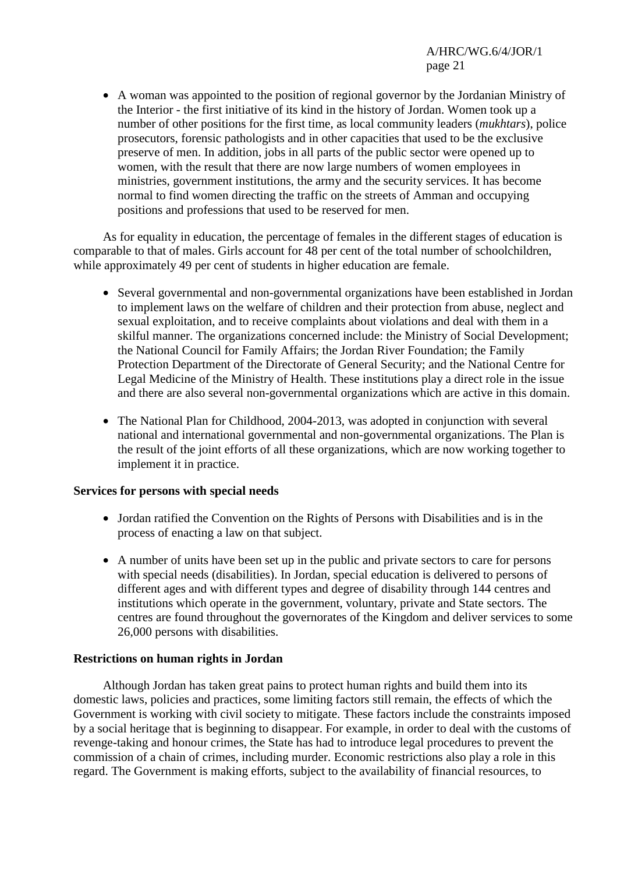• A woman was appointed to the position of regional governor by the Jordanian Ministry of the Interior - the first initiative of its kind in the history of Jordan. Women took up a number of other positions for the first time, as local community leaders (*mukhtars*), police prosecutors, forensic pathologists and in other capacities that used to be the exclusive preserve of men. In addition, jobs in all parts of the public sector were opened up to women, with the result that there are now large numbers of women employees in ministries, government institutions, the army and the security services. It has become normal to find women directing the traffic on the streets of Amman and occupying positions and professions that used to be reserved for men.

 As for equality in education, the percentage of females in the different stages of education is comparable to that of males. Girls account for 48 per cent of the total number of schoolchildren, while approximately 49 per cent of students in higher education are female.

- Several governmental and non-governmental organizations have been established in Jordan to implement laws on the welfare of children and their protection from abuse, neglect and sexual exploitation, and to receive complaints about violations and deal with them in a skilful manner. The organizations concerned include: the Ministry of Social Development; the National Council for Family Affairs; the Jordan River Foundation; the Family Protection Department of the Directorate of General Security; and the National Centre for Legal Medicine of the Ministry of Health. These institutions play a direct role in the issue and there are also several non-governmental organizations which are active in this domain.
- The National Plan for Childhood, 2004-2013, was adopted in conjunction with several national and international governmental and non-governmental organizations. The Plan is the result of the joint efforts of all these organizations, which are now working together to implement it in practice.

## **Services for persons with special needs**

- Jordan ratified the Convention on the Rights of Persons with Disabilities and is in the process of enacting a law on that subject.
- A number of units have been set up in the public and private sectors to care for persons with special needs (disabilities). In Jordan, special education is delivered to persons of different ages and with different types and degree of disability through 144 centres and institutions which operate in the government, voluntary, private and State sectors. The centres are found throughout the governorates of the Kingdom and deliver services to some 26,000 persons with disabilities.

## **Restrictions on human rights in Jordan**

 Although Jordan has taken great pains to protect human rights and build them into its domestic laws, policies and practices, some limiting factors still remain, the effects of which the Government is working with civil society to mitigate. These factors include the constraints imposed by a social heritage that is beginning to disappear. For example, in order to deal with the customs of revenge-taking and honour crimes, the State has had to introduce legal procedures to prevent the commission of a chain of crimes, including murder. Economic restrictions also play a role in this regard. The Government is making efforts, subject to the availability of financial resources, to